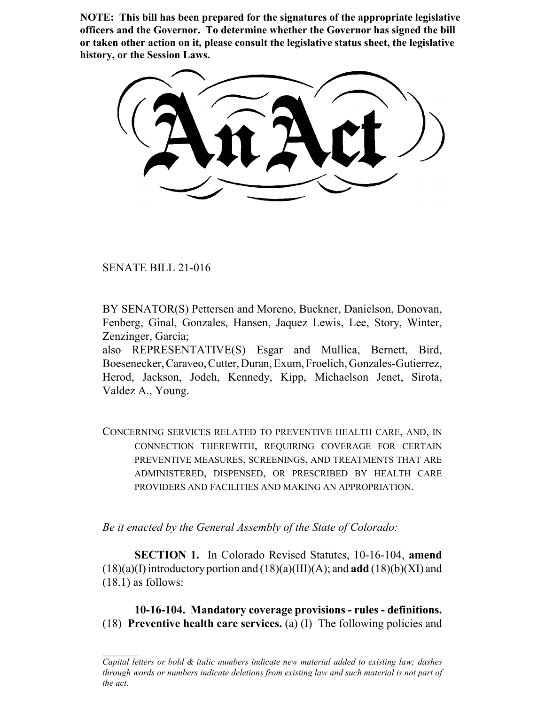**NOTE: This bill has been prepared for the signatures of the appropriate legislative officers and the Governor. To determine whether the Governor has signed the bill or taken other action on it, please consult the legislative status sheet, the legislative history, or the Session Laws.**

SENATE BILL 21-016

BY SENATOR(S) Pettersen and Moreno, Buckner, Danielson, Donovan, Fenberg, Ginal, Gonzales, Hansen, Jaquez Lewis, Lee, Story, Winter, Zenzinger, Garcia;

also REPRESENTATIVE(S) Esgar and Mullica, Bernett, Bird, Boesenecker, Caraveo, Cutter, Duran, Exum, Froelich, Gonzales-Gutierrez, Herod, Jackson, Jodeh, Kennedy, Kipp, Michaelson Jenet, Sirota, Valdez A., Young.

CONCERNING SERVICES RELATED TO PREVENTIVE HEALTH CARE, AND, IN CONNECTION THEREWITH, REQUIRING COVERAGE FOR CERTAIN PREVENTIVE MEASURES, SCREENINGS, AND TREATMENTS THAT ARE ADMINISTERED, DISPENSED, OR PRESCRIBED BY HEALTH CARE PROVIDERS AND FACILITIES AND MAKING AN APPROPRIATION.

*Be it enacted by the General Assembly of the State of Colorado:*

**SECTION 1.** In Colorado Revised Statutes, 10-16-104, **amend** (18)(a)(I) introductory portion and (18)(a)(III)(A); and **add** (18)(b)(XI) and (18.1) as follows:

**10-16-104. Mandatory coverage provisions - rules - definitions.** (18) **Preventive health care services.** (a) (I) The following policies and

*Capital letters or bold & italic numbers indicate new material added to existing law; dashes through words or numbers indicate deletions from existing law and such material is not part of the act.*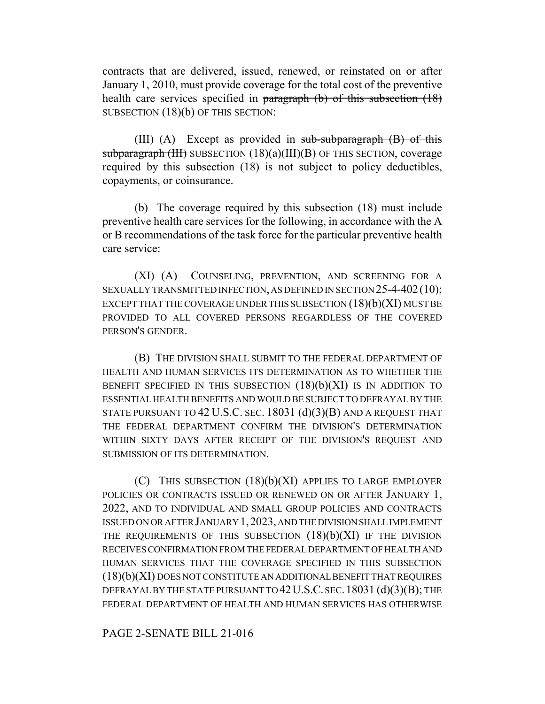contracts that are delivered, issued, renewed, or reinstated on or after January 1, 2010, must provide coverage for the total cost of the preventive health care services specified in paragraph (b) of this subsection (18) SUBSECTION (18)(b) OF THIS SECTION:

(III) (A) Except as provided in  $sub-sub-subparam$  (B) of this subparagraph (III) SUBSECTION (18)(a)(III)(B) OF THIS SECTION, coverage required by this subsection (18) is not subject to policy deductibles, copayments, or coinsurance.

(b) The coverage required by this subsection (18) must include preventive health care services for the following, in accordance with the A or B recommendations of the task force for the particular preventive health care service:

(XI) (A) COUNSELING, PREVENTION, AND SCREENING FOR A SEXUALLY TRANSMITTED INFECTION, AS DEFINED IN SECTION 25-4-402(10); EXCEPT THAT THE COVERAGE UNDER THIS SUBSECTION (18)(b)(XI) MUST BE PROVIDED TO ALL COVERED PERSONS REGARDLESS OF THE COVERED PERSON'S GENDER.

(B) THE DIVISION SHALL SUBMIT TO THE FEDERAL DEPARTMENT OF HEALTH AND HUMAN SERVICES ITS DETERMINATION AS TO WHETHER THE BENEFIT SPECIFIED IN THIS SUBSECTION  $(18)(b)(XI)$  is in addition to ESSENTIAL HEALTH BENEFITS AND WOULD BE SUBJECT TO DEFRAYAL BY THE STATE PURSUANT TO 42 U.S.C. SEC. 18031 (d)(3)(B) AND A REQUEST THAT THE FEDERAL DEPARTMENT CONFIRM THE DIVISION'S DETERMINATION WITHIN SIXTY DAYS AFTER RECEIPT OF THE DIVISION'S REQUEST AND SUBMISSION OF ITS DETERMINATION.

(C) THIS SUBSECTION (18)(b)(XI) APPLIES TO LARGE EMPLOYER POLICIES OR CONTRACTS ISSUED OR RENEWED ON OR AFTER JANUARY 1, 2022, AND TO INDIVIDUAL AND SMALL GROUP POLICIES AND CONTRACTS ISSUED ON OR AFTER JANUARY 1,2023, AND THE DIVISION SHALL IMPLEMENT THE REQUIREMENTS OF THIS SUBSECTION  $(18)(b)(XI)$  if the DIVISION RECEIVES CONFIRMATION FROM THE FEDERAL DEPARTMENT OF HEALTH AND HUMAN SERVICES THAT THE COVERAGE SPECIFIED IN THIS SUBSECTION (18)(b)(XI) DOES NOT CONSTITUTE AN ADDITIONAL BENEFIT THAT REQUIRES DEFRAYAL BY THE STATE PURSUANT TO 42 U.S.C. SEC. 18031 (d)(3)(B); THE FEDERAL DEPARTMENT OF HEALTH AND HUMAN SERVICES HAS OTHERWISE

## PAGE 2-SENATE BILL 21-016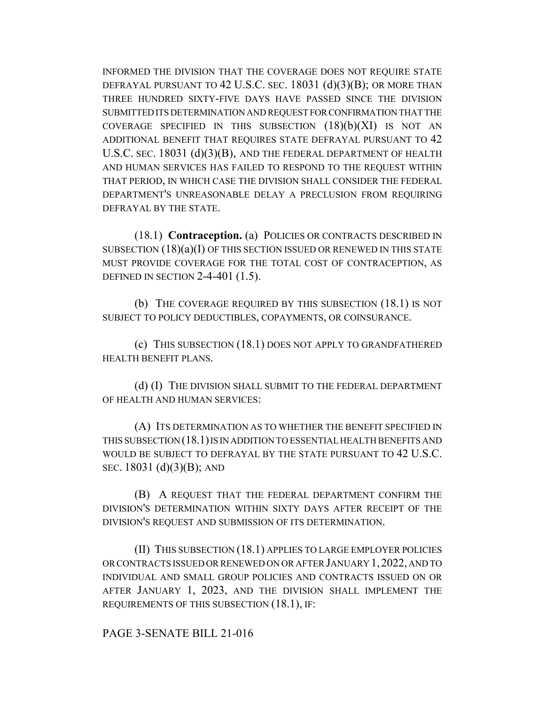INFORMED THE DIVISION THAT THE COVERAGE DOES NOT REQUIRE STATE DEFRAYAL PURSUANT TO 42 U.S.C. SEC. 18031 (d)(3)(B); OR MORE THAN THREE HUNDRED SIXTY-FIVE DAYS HAVE PASSED SINCE THE DIVISION SUBMITTED ITS DETERMINATION AND REQUEST FOR CONFIRMATION THAT THE COVERAGE SPECIFIED IN THIS SUBSECTION  $(18)(b)(XI)$  is not an ADDITIONAL BENEFIT THAT REQUIRES STATE DEFRAYAL PURSUANT TO 42 U.S.C. SEC. 18031 (d)(3)(B), AND THE FEDERAL DEPARTMENT OF HEALTH AND HUMAN SERVICES HAS FAILED TO RESPOND TO THE REQUEST WITHIN THAT PERIOD, IN WHICH CASE THE DIVISION SHALL CONSIDER THE FEDERAL DEPARTMENT'S UNREASONABLE DELAY A PRECLUSION FROM REQUIRING DEFRAYAL BY THE STATE.

(18.1) **Contraception.** (a) POLICIES OR CONTRACTS DESCRIBED IN SUBSECTION  $(18)(a)(I)$  OF THIS SECTION ISSUED OR RENEWED IN THIS STATE MUST PROVIDE COVERAGE FOR THE TOTAL COST OF CONTRACEPTION, AS DEFINED IN SECTION 2-4-401 (1.5).

(b) THE COVERAGE REQUIRED BY THIS SUBSECTION (18.1) IS NOT SUBJECT TO POLICY DEDUCTIBLES, COPAYMENTS, OR COINSURANCE.

(c) THIS SUBSECTION (18.1) DOES NOT APPLY TO GRANDFATHERED HEALTH BENEFIT PLANS.

(d) (I) THE DIVISION SHALL SUBMIT TO THE FEDERAL DEPARTMENT OF HEALTH AND HUMAN SERVICES:

(A) ITS DETERMINATION AS TO WHETHER THE BENEFIT SPECIFIED IN THIS SUBSECTION (18.1) IS IN ADDITION TO ESSENTIAL HEALTH BENEFITS AND WOULD BE SUBJECT TO DEFRAYAL BY THE STATE PURSUANT TO 42 U.S.C. SEC. 18031 (d)(3)(B); AND

(B) A REQUEST THAT THE FEDERAL DEPARTMENT CONFIRM THE DIVISION'S DETERMINATION WITHIN SIXTY DAYS AFTER RECEIPT OF THE DIVISION'S REQUEST AND SUBMISSION OF ITS DETERMINATION.

(II) THIS SUBSECTION (18.1) APPLIES TO LARGE EMPLOYER POLICIES OR CONTRACTS ISSUED OR RENEWED ON OR AFTER JANUARY 1,2022, AND TO INDIVIDUAL AND SMALL GROUP POLICIES AND CONTRACTS ISSUED ON OR AFTER JANUARY 1, 2023, AND THE DIVISION SHALL IMPLEMENT THE REQUIREMENTS OF THIS SUBSECTION (18.1), IF:

PAGE 3-SENATE BILL 21-016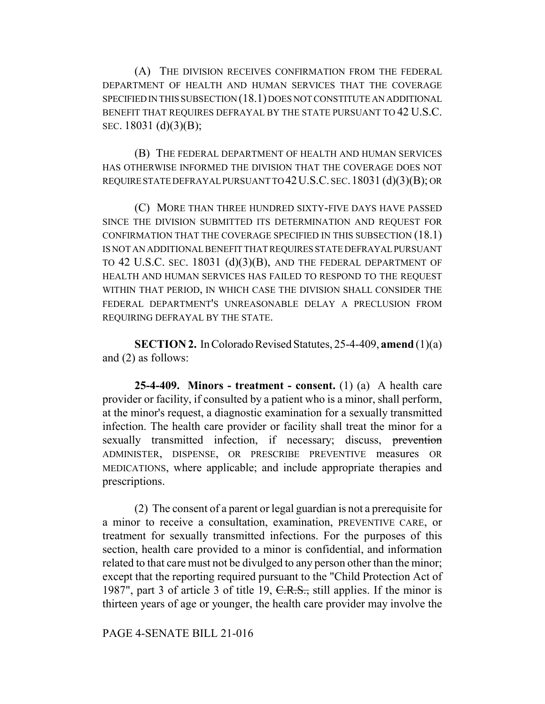(A) THE DIVISION RECEIVES CONFIRMATION FROM THE FEDERAL DEPARTMENT OF HEALTH AND HUMAN SERVICES THAT THE COVERAGE SPECIFIED IN THIS SUBSECTION (18.1) DOES NOT CONSTITUTE AN ADDITIONAL BENEFIT THAT REQUIRES DEFRAYAL BY THE STATE PURSUANT TO 42 U.S.C. SEC. 18031 (d)(3)(B);

(B) THE FEDERAL DEPARTMENT OF HEALTH AND HUMAN SERVICES HAS OTHERWISE INFORMED THE DIVISION THAT THE COVERAGE DOES NOT REQUIRE STATE DEFRAYAL PURSUANT TO 42U.S.C. SEC.18031 (d)(3)(B); OR

(C) MORE THAN THREE HUNDRED SIXTY-FIVE DAYS HAVE PASSED SINCE THE DIVISION SUBMITTED ITS DETERMINATION AND REQUEST FOR CONFIRMATION THAT THE COVERAGE SPECIFIED IN THIS SUBSECTION (18.1) IS NOT AN ADDITIONAL BENEFIT THAT REQUIRES STATE DEFRAYAL PURSUANT TO 42 U.S.C. SEC. 18031 (d)(3)(B), AND THE FEDERAL DEPARTMENT OF HEALTH AND HUMAN SERVICES HAS FAILED TO RESPOND TO THE REQUEST WITHIN THAT PERIOD, IN WHICH CASE THE DIVISION SHALL CONSIDER THE FEDERAL DEPARTMENT'S UNREASONABLE DELAY A PRECLUSION FROM REQUIRING DEFRAYAL BY THE STATE.

**SECTION 2.** In Colorado Revised Statutes, 25-4-409, **amend** (1)(a) and (2) as follows:

**25-4-409. Minors - treatment - consent.** (1) (a) A health care provider or facility, if consulted by a patient who is a minor, shall perform, at the minor's request, a diagnostic examination for a sexually transmitted infection. The health care provider or facility shall treat the minor for a sexually transmitted infection, if necessary; discuss, prevention ADMINISTER, DISPENSE, OR PRESCRIBE PREVENTIVE measures OR MEDICATIONS, where applicable; and include appropriate therapies and prescriptions.

(2) The consent of a parent or legal guardian is not a prerequisite for a minor to receive a consultation, examination, PREVENTIVE CARE, or treatment for sexually transmitted infections. For the purposes of this section, health care provided to a minor is confidential, and information related to that care must not be divulged to any person other than the minor; except that the reporting required pursuant to the "Child Protection Act of 1987", part 3 of article 3 of title 19, C.R.S., still applies. If the minor is thirteen years of age or younger, the health care provider may involve the

PAGE 4-SENATE BILL 21-016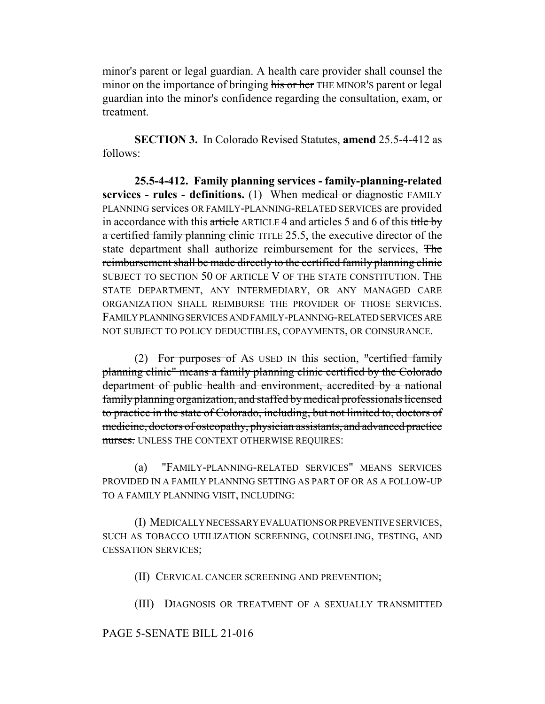minor's parent or legal guardian. A health care provider shall counsel the minor on the importance of bringing his or her THE MINOR'S parent or legal guardian into the minor's confidence regarding the consultation, exam, or treatment.

**SECTION 3.** In Colorado Revised Statutes, **amend** 25.5-4-412 as follows:

**25.5-4-412. Family planning services - family-planning-related services - rules - definitions.** (1) When medical or diagnostic FAMILY PLANNING services OR FAMILY-PLANNING-RELATED SERVICES are provided in accordance with this article ARTICLE 4 and articles 5 and 6 of this title by a certified family planning clinic TITLE 25.5, the executive director of the state department shall authorize reimbursement for the services, The reimbursement shall be made directly to the certified family planning clinic SUBJECT TO SECTION 50 OF ARTICLE V OF THE STATE CONSTITUTION. THE STATE DEPARTMENT, ANY INTERMEDIARY, OR ANY MANAGED CARE ORGANIZATION SHALL REIMBURSE THE PROVIDER OF THOSE SERVICES. FAMILY PLANNING SERVICES AND FAMILY-PLANNING-RELATED SERVICES ARE NOT SUBJECT TO POLICY DEDUCTIBLES, COPAYMENTS, OR COINSURANCE.

(2) For purposes of As USED IN this section, "certified family planning clinic" means a family planning clinic certified by the Colorado department of public health and environment, accredited by a national family planning organization, and staffed by medical professionals licensed to practice in the state of Colorado, including, but not limited to, doctors of medicine, doctors of osteopathy, physician assistants, and advanced practice nurses. UNLESS THE CONTEXT OTHERWISE REQUIRES:

(a) "FAMILY-PLANNING-RELATED SERVICES" MEANS SERVICES PROVIDED IN A FAMILY PLANNING SETTING AS PART OF OR AS A FOLLOW-UP TO A FAMILY PLANNING VISIT, INCLUDING:

(I) MEDICALLY NECESSARY EVALUATIONS OR PREVENTIVE SERVICES, SUCH AS TOBACCO UTILIZATION SCREENING, COUNSELING, TESTING, AND CESSATION SERVICES;

(II) CERVICAL CANCER SCREENING AND PREVENTION;

(III) DIAGNOSIS OR TREATMENT OF A SEXUALLY TRANSMITTED

## PAGE 5-SENATE BILL 21-016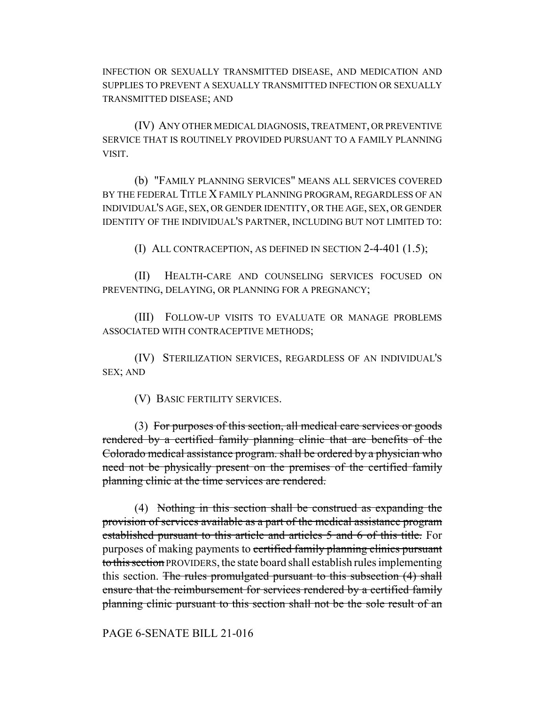INFECTION OR SEXUALLY TRANSMITTED DISEASE, AND MEDICATION AND SUPPLIES TO PREVENT A SEXUALLY TRANSMITTED INFECTION OR SEXUALLY TRANSMITTED DISEASE; AND

(IV) ANY OTHER MEDICAL DIAGNOSIS, TREATMENT, OR PREVENTIVE SERVICE THAT IS ROUTINELY PROVIDED PURSUANT TO A FAMILY PLANNING VISIT.

(b) "FAMILY PLANNING SERVICES" MEANS ALL SERVICES COVERED BY THE FEDERAL TITLE X FAMILY PLANNING PROGRAM, REGARDLESS OF AN INDIVIDUAL'S AGE, SEX, OR GENDER IDENTITY, OR THE AGE, SEX, OR GENDER IDENTITY OF THE INDIVIDUAL'S PARTNER, INCLUDING BUT NOT LIMITED TO:

(I) ALL CONTRACEPTION, AS DEFINED IN SECTION 2-4-401 (1.5);

(II) HEALTH-CARE AND COUNSELING SERVICES FOCUSED ON PREVENTING, DELAYING, OR PLANNING FOR A PREGNANCY;

(III) FOLLOW-UP VISITS TO EVALUATE OR MANAGE PROBLEMS ASSOCIATED WITH CONTRACEPTIVE METHODS;

(IV) STERILIZATION SERVICES, REGARDLESS OF AN INDIVIDUAL'S SEX; AND

(V) BASIC FERTILITY SERVICES.

(3) For purposes of this section, all medical care services or goods rendered by a certified family planning clinic that are benefits of the Colorado medical assistance program. shall be ordered by a physician who need not be physically present on the premises of the certified family planning clinic at the time services are rendered.

(4) Nothing in this section shall be construed as expanding the provision of services available as a part of the medical assistance program established pursuant to this article and articles 5 and 6 of this title. For purposes of making payments to certified family planning clinics pursuant to this section PROVIDERS, the state board shall establish rules implementing this section. The rules promulgated pursuant to this subsection (4) shall ensure that the reimbursement for services rendered by a certified family planning clinic pursuant to this section shall not be the sole result of an

PAGE 6-SENATE BILL 21-016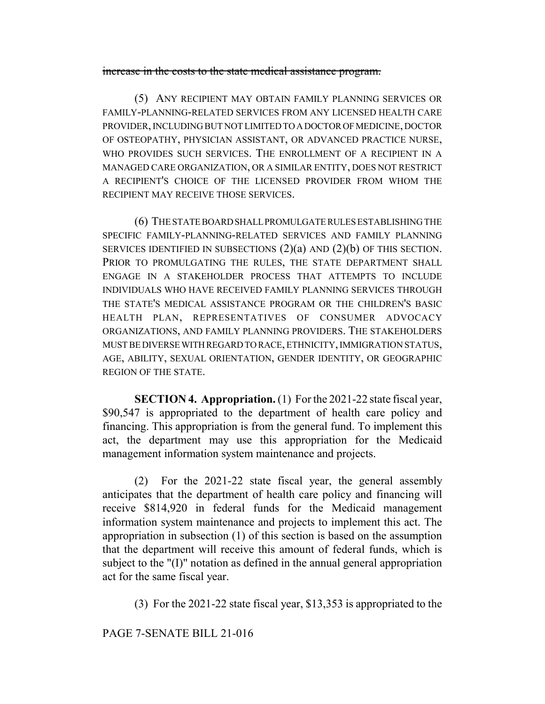## increase in the costs to the state medical assistance program.

(5) ANY RECIPIENT MAY OBTAIN FAMILY PLANNING SERVICES OR FAMILY-PLANNING-RELATED SERVICES FROM ANY LICENSED HEALTH CARE PROVIDER, INCLUDING BUT NOT LIMITED TO A DOCTOR OF MEDICINE, DOCTOR OF OSTEOPATHY, PHYSICIAN ASSISTANT, OR ADVANCED PRACTICE NURSE, WHO PROVIDES SUCH SERVICES. THE ENROLLMENT OF A RECIPIENT IN A MANAGED CARE ORGANIZATION, OR A SIMILAR ENTITY, DOES NOT RESTRICT A RECIPIENT'S CHOICE OF THE LICENSED PROVIDER FROM WHOM THE RECIPIENT MAY RECEIVE THOSE SERVICES.

(6) THE STATE BOARD SHALL PROMULGATE RULES ESTABLISHING THE SPECIFIC FAMILY-PLANNING-RELATED SERVICES AND FAMILY PLANNING SERVICES IDENTIFIED IN SUBSECTIONS  $(2)(a)$  AND  $(2)(b)$  OF THIS SECTION. PRIOR TO PROMULGATING THE RULES, THE STATE DEPARTMENT SHALL ENGAGE IN A STAKEHOLDER PROCESS THAT ATTEMPTS TO INCLUDE INDIVIDUALS WHO HAVE RECEIVED FAMILY PLANNING SERVICES THROUGH THE STATE'S MEDICAL ASSISTANCE PROGRAM OR THE CHILDREN'S BASIC HEALTH PLAN, REPRESENTATIVES OF CONSUMER ADVOCACY ORGANIZATIONS, AND FAMILY PLANNING PROVIDERS. THE STAKEHOLDERS MUST BE DIVERSE WITH REGARD TO RACE, ETHNICITY, IMMIGRATION STATUS, AGE, ABILITY, SEXUAL ORIENTATION, GENDER IDENTITY, OR GEOGRAPHIC REGION OF THE STATE.

**SECTION 4. Appropriation.** (1) For the 2021-22 state fiscal year, \$90,547 is appropriated to the department of health care policy and financing. This appropriation is from the general fund. To implement this act, the department may use this appropriation for the Medicaid management information system maintenance and projects.

(2) For the 2021-22 state fiscal year, the general assembly anticipates that the department of health care policy and financing will receive \$814,920 in federal funds for the Medicaid management information system maintenance and projects to implement this act. The appropriation in subsection (1) of this section is based on the assumption that the department will receive this amount of federal funds, which is subject to the "(I)" notation as defined in the annual general appropriation act for the same fiscal year.

(3) For the 2021-22 state fiscal year, \$13,353 is appropriated to the

PAGE 7-SENATE BILL 21-016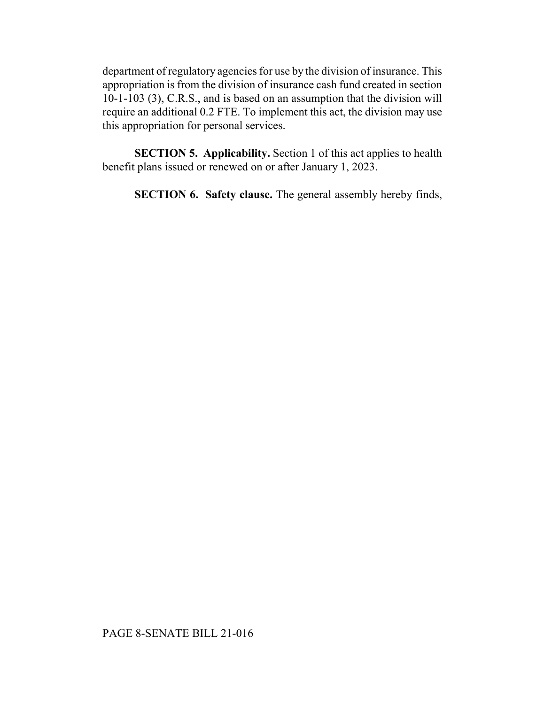department of regulatory agencies for use by the division of insurance. This appropriation is from the division of insurance cash fund created in section 10-1-103 (3), C.R.S., and is based on an assumption that the division will require an additional 0.2 FTE. To implement this act, the division may use this appropriation for personal services.

**SECTION 5. Applicability.** Section 1 of this act applies to health benefit plans issued or renewed on or after January 1, 2023.

**SECTION 6. Safety clause.** The general assembly hereby finds,

## PAGE 8-SENATE BILL 21-016